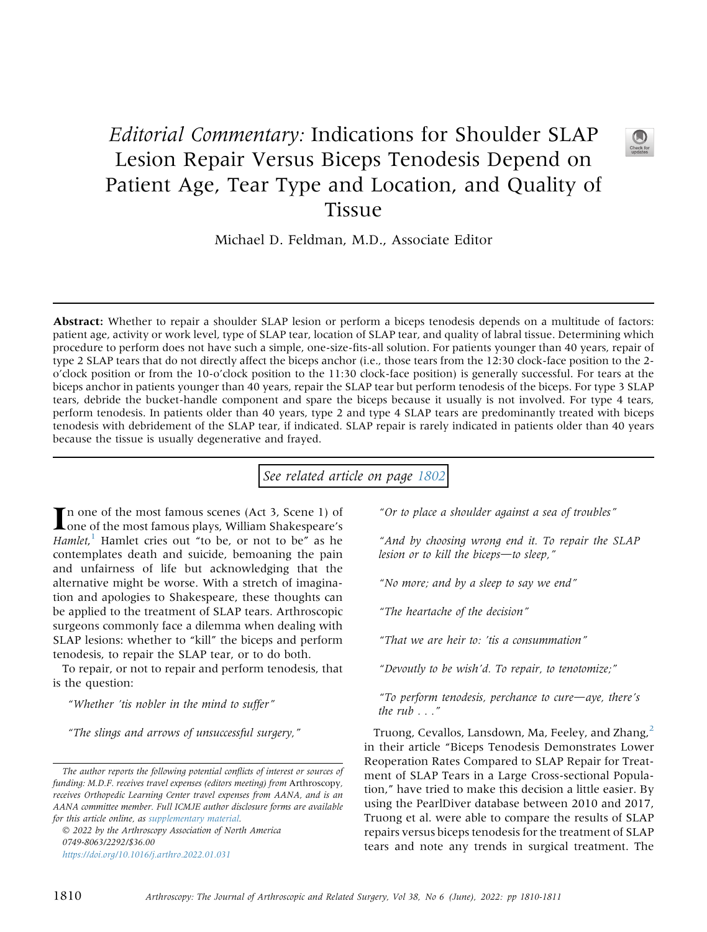## Editorial Commentary: Indications for Shoulder SLAP Lesion Repair Versus Biceps Tenodesis Depend on Patient Age, Tear Type and Location, and Quality of Tissue

Michael D. Feldman, M.D., Associate Editor

Abstract: Whether to repair a shoulder SLAP lesion or perform a biceps tenodesis depends on a multitude of factors: patient age, activity or work level, type of SLAP tear, location of SLAP tear, and quality of labral tissue. Determining which procedure to perform does not have such a simple, one-size-fits-all solution. For patients younger than 40 years, repair of type 2 SLAP tears that do not directly affect the biceps anchor (i.e., those tears from the 12:30 clock-face position to the 2 o'clock position or from the 10-o'clock position to the 11:30 clock-face position) is generally successful. For tears at the biceps anchor in patients younger than 40 years, repair the SLAP tear but perform tenodesis of the biceps. For type 3 SLAP tears, debride the bucket-handle component and spare the biceps because it usually is not involved. For type 4 tears, perform tenodesis. In patients older than 40 years, type 2 and type 4 SLAP tears are predominantly treated with biceps tenodesis with debridement of the SLAP tear, if indicated. SLAP repair is rarely indicated in patients older than 40 years because the tissue is usually degenerative and frayed.

See related article on page [1802](http://www.arthroscopyjournal.org/article/S0749-8063(21)01088-4/abstract)

In one of the most famous scenes (Act 3, Scene 1) of<br>one of the most famous plays, William Shakespeare's Hamlet,<sup>[1](#page-1-0)</sup> Hamlet cries out "to be, or not to be" as he contemplates death and suicide, bemoaning the pain and unfairness of life but acknowledging that the alternative might be worse. With a stretch of imagination and apologies to Shakespeare, these thoughts can be applied to the treatment of SLAP tears. Arthroscopic surgeons commonly face a dilemma when dealing with SLAP lesions: whether to "kill" the biceps and perform tenodesis, to repair the SLAP tear, or to do both.

To repair, or not to repair and perform tenodesis, that is the question:

"Whether 'tis nobler in the mind to suffer"

"The slings and arrows of unsuccessful surgery,"

 2022 by the Arthroscopy Association of North America 0749-8063/2292/\$36.00 <https://doi.org/10.1016/j.arthro.2022.01.031>

"Or to place a shoulder against a sea of troubles"

"And by choosing wrong end it. To repair the SLAP lesion or to kill the biceps-to sleep,"

"No more; and by a sleep to say we end"

"The heartache of the decision"

"That we are heir to: 'tis a consummation"

"Devoutly to be wish'd. To repair, to tenotomize;"

"To perform tenodesis, perchance to cure $\rightarrow$ aye, there's the  $rub \dots$ "

Truong, Cevallos, Lansdown, Ma, Feeley, and Zhang,<sup>[2](#page-1-1)</sup> in their article "Biceps Tenodesis Demonstrates Lower Reoperation Rates Compared to SLAP Repair for Treatment of SLAP Tears in a Large Cross-sectional Population," have tried to make this decision a little easier. By using the PearlDiver database between 2010 and 2017, Truong et al. were able to compare the results of SLAP repairs versus biceps tenodesis for the treatment of SLAP tears and note any trends in surgical treatment. The

The author reports the following potential conflicts of interest or sources of funding: M.D.F. receives travel expenses (editors meeting) from Arthroscopy, receives Orthopedic Learning Center travel expenses from AANA, and is an AANA committee member. Full ICMJE author disclosure forms are available for this article online, as supplementary material.